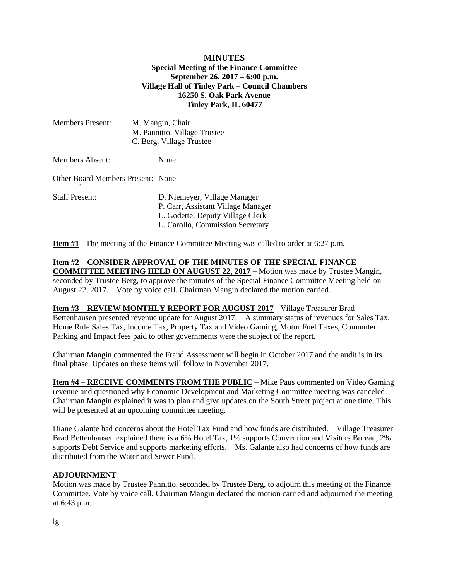## **MINUTES Special Meeting of the Finance Committee September 26, 2017 – 6:00 p.m. Village Hall of Tinley Park – Council Chambers 16250 S. Oak Park Avenue Tinley Park, IL 60477**

| <b>Members Present:</b>           | M. Mangin, Chair<br>M. Pannitto, Village Trustee<br>C. Berg, Village Trustee                                                               |
|-----------------------------------|--------------------------------------------------------------------------------------------------------------------------------------------|
| <b>Members Absent:</b>            | None                                                                                                                                       |
| Other Board Members Present: None |                                                                                                                                            |
| <b>Staff Present:</b>             | D. Niemeyer, Village Manager<br>P. Carr, Assistant Village Manager<br>L. Godette, Deputy Village Clerk<br>L. Carollo, Commission Secretary |

**Item #1** - The meeting of the Finance Committee Meeting was called to order at 6:27 p.m.

**Item #2 – CONSIDER APPROVAL OF THE MINUTES OF THE SPECIAL FINANCE COMMITTEE MEETING HELD ON AUGUST 22, 2017 –** Motion was made by Trustee Mangin, seconded by Trustee Berg, to approve the minutes of the Special Finance Committee Meeting held on August 22, 2017. Vote by voice call. Chairman Mangin declared the motion carried.

**Item #3 – REVIEW MONTHLY REPORT FOR AUGUST 2017 -** Village Treasurer Brad Bettenhausen presented revenue update for August 2017. A summary status of revenues for Sales Tax, Home Rule Sales Tax, Income Tax, Property Tax and Video Gaming, Motor Fuel Taxes, Commuter Parking and Impact fees paid to other governments were the subject of the report.

Chairman Mangin commented the Fraud Assessment will begin in October 2017 and the audit is in its final phase. Updates on these items will follow in November 2017.

**Item #4 – RECEIVE COMMENTS FROM THE PUBLIC –** Mike Paus commented on Video Gaming revenue and questioned why Economic Development and Marketing Committee meeting was canceled. Chairman Mangin explained it was to plan and give updates on the South Street project at one time. This will be presented at an upcoming committee meeting.

Diane Galante had concerns about the Hotel Tax Fund and how funds are distributed. Village Treasurer Brad Bettenhausen explained there is a 6% Hotel Tax, 1% supports Convention and Visitors Bureau, 2% supports Debt Service and supports marketing efforts. Ms. Galante also had concerns of how funds are distributed from the Water and Sewer Fund.

## **ADJOURNMENT**

Motion was made by Trustee Pannitto, seconded by Trustee Berg, to adjourn this meeting of the Finance Committee. Vote by voice call. Chairman Mangin declared the motion carried and adjourned the meeting at 6:43 p.m.